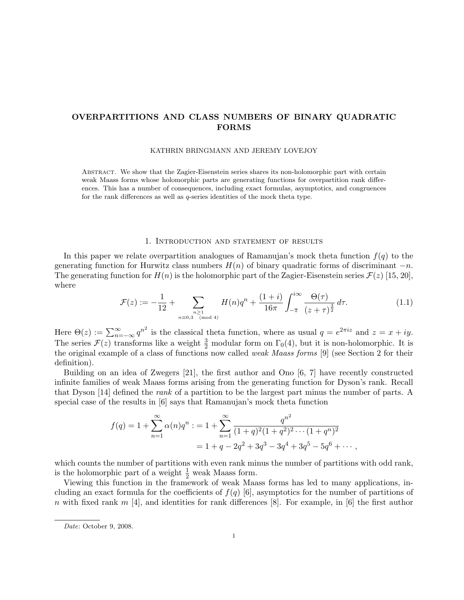# OVERPARTITIONS AND CLASS NUMBERS OF BINARY QUADRATIC FORMS

### KATHRIN BRINGMANN AND JEREMY LOVEJOY

Abstract. We show that the Zagier-Eisenstein series shares its non-holomorphic part with certain weak Maass forms whose holomorphic parts are generating functions for overpartition rank differences. This has a number of consequences, including exact formulas, asymptotics, and congruences for the rank differences as well as q-series identities of the mock theta type.

### 1. Introduction and statement of results

In this paper we relate overpartition analogues of Ramanujan's mock theta function  $f(q)$  to the generating function for Hurwitz class numbers  $H(n)$  of binary quadratic forms of discriminant  $-n$ . The generating function for  $H(n)$  is the holomorphic part of the Zagier-Eisenstein series  $\mathcal{F}(z)$  [15, 20], where

$$
\mathcal{F}(z) := -\frac{1}{12} + \sum_{\substack{n \geq 1 \\ n \equiv 0,3 \pmod{4}}} H(n)q^n + \frac{(1+i)}{16\pi} \int_{-\overline{z}}^{i\infty} \frac{\Theta(\tau)}{(z+\tau)^{\frac{3}{2}}} d\tau.
$$
 (1.1)

Here  $\Theta(z) := \sum_{n=-\infty}^{\infty} q^{n^2}$  is the classical theta function, where as usual  $q = e^{2\pi i z}$  and  $z = x + iy$ . The series  $\mathcal{F}(z)$  transforms like a weight  $\frac{3}{2}$  modular form on  $\Gamma_0(4)$ , but it is non-holomorphic. It is the original example of a class of functions now called weak Maass forms [9] (see Section 2 for their definition).

Building on an idea of Zwegers [21], the first author and Ono [6, 7] have recently constructed infinite families of weak Maass forms arising from the generating function for Dyson's rank. Recall that Dyson [14] defined the rank of a partition to be the largest part minus the number of parts. A special case of the results in [6] says that Ramanujan's mock theta function

$$
f(q) = 1 + \sum_{n=1}^{\infty} \alpha(n)q^n : = 1 + \sum_{n=1}^{\infty} \frac{q^{n^2}}{(1+q)^2(1+q^2)^2 \cdots (1+q^n)^2}
$$
  
= 1 + q - 2q<sup>2</sup> + 3q<sup>3</sup> - 3q<sup>4</sup> + 3q<sup>5</sup> - 5q<sup>6</sup> + \cdots,

which counts the number of partitions with even rank minus the number of partitions with odd rank, is the holomorphic part of a weight  $\frac{1}{2}$  weak Maass form.

Viewing this function in the framework of weak Maass forms has led to many applications, including an exact formula for the coefficients of  $f(q)$  [6], asymptotics for the number of partitions of n with fixed rank m [4], and identities for rank differences [8]. For example, in [6] the first author

Date: October 9, 2008.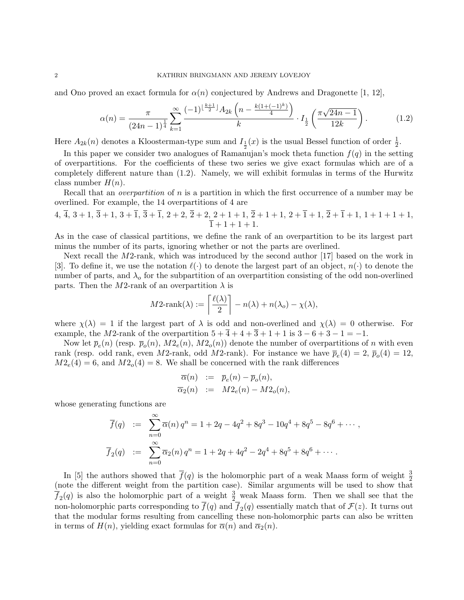and Ono proved an exact formula for  $\alpha(n)$  conjectured by Andrews and Dragonette [1, 12],

$$
\alpha(n) = \frac{\pi}{(24n-1)^{\frac{1}{4}}}\sum_{k=1}^{\infty} \frac{(-1)^{\lfloor \frac{k+1}{2} \rfloor} A_{2k} \left(n - \frac{k(1+(-1)^k)}{4}\right)}{k} \cdot I_{\frac{1}{2}}\left(\frac{\pi\sqrt{24n-1}}{12k}\right). \tag{1.2}
$$

Here  $A_{2k}(n)$  denotes a Kloosterman-type sum and  $I_{\frac{1}{2}}(x)$  is the usual Bessel function of order  $\frac{1}{2}$ .

In this paper we consider two analogues of Ramanujan's mock theta function  $f(q)$  in the setting of overpartitions. For the coefficients of these two series we give exact formulas which are of a completely different nature than (1.2). Namely, we will exhibit formulas in terms of the Hurwitz class number  $H(n)$ .

Recall that an *overpartition* of n is a partition in which the first occurrence of a number may be overlined. For example, the 14 overpartitions of 4 are

$$
4, \overline{4}, 3+1, \overline{3}+1, 3+\overline{1}, \overline{3}+\overline{1}, 2+2, \overline{2}+2, 2+1+1, \overline{2}+1+1, 2+\overline{1}+1, \overline{2}+\overline{1}+1, 1+1+1+1, \\ \overline{1}+1+1+1.
$$

As in the case of classical partitions, we define the rank of an overpartition to be its largest part minus the number of its parts, ignoring whether or not the parts are overlined.

Next recall the M2-rank, which was introduced by the second author [17] based on the work in [3]. To define it, we use the notation  $\ell(\cdot)$  to denote the largest part of an object,  $n(\cdot)$  to denote the number of parts, and  $\lambda_0$  for the subpartition of an overpartition consisting of the odd non-overlined parts. Then the M2-rank of an overpartition  $\lambda$  is

$$
M2\text{-rank}(\lambda) := \left\lceil \frac{\ell(\lambda)}{2} \right\rceil - n(\lambda) + n(\lambda_o) - \chi(\lambda),
$$

where  $\chi(\lambda) = 1$  if the largest part of  $\lambda$  is odd and non-overlined and  $\chi(\lambda) = 0$  otherwise. For example, the M2-rank of the overpartition  $5 + \overline{4} + 4 + \overline{3} + 1 + 1$  is  $3 - 6 + 3 - 1 = -1$ .

Now let  $\bar{p}_e(n)$  (resp.  $\bar{p}_o(n)$ ,  $M2_e(n)$ ,  $M2_o(n)$ ) denote the number of overpartitions of n with even rank (resp. odd rank, even M2-rank, odd M2-rank). For instance we have  $\bar{p}_e(4) = 2$ ,  $\bar{p}_o(4) = 12$ ,  $M2_e(4) = 6$ , and  $M2_o(4) = 8$ . We shall be concerned with the rank differences

$$
\begin{array}{rcl}\n\overline{\alpha}(n) & := & \overline{p}_e(n) - \overline{p}_o(n), \\
\overline{\alpha}_2(n) & := & M2_e(n) - M2_o(n),\n\end{array}
$$

whose generating functions are

$$
\overline{f}(q) := \sum_{n=0}^{\infty} \overline{\alpha}(n) q^n = 1 + 2q - 4q^2 + 8q^3 - 10q^4 + 8q^5 - 8q^6 + \cdots,
$$
  

$$
\overline{f}_2(q) := \sum_{n=0}^{\infty} \overline{\alpha}_2(n) q^n = 1 + 2q + 4q^2 - 2q^4 + 8q^5 + 8q^6 + \cdots.
$$

In [5] the authors showed that  $\overline{f}(q)$  is the holomorphic part of a weak Maass form of weight  $\frac{3}{2}$ (note the different weight from the partition case). Similar arguments will be used to show that  $\overline{f}_2(q)$  is also the holomorphic part of a weight  $\frac{3}{2}$  weak Maass form. Then we shall see that the non-holomorphic parts corresponding to  $\overline{f}(q)$  and  $\overline{f}_2(q)$  essentially match that of  $\mathcal{F}(z)$ . It turns out that the modular forms resulting from cancelling these non-holomorphic parts can also be written in terms of  $H(n)$ , yielding exact formulas for  $\overline{\alpha}(n)$  and  $\overline{\alpha}_2(n)$ .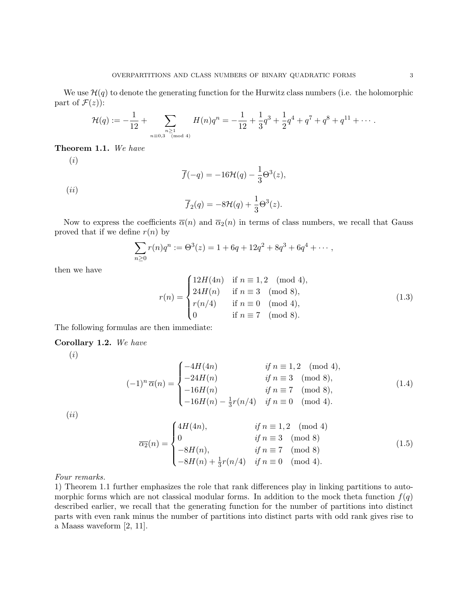We use  $\mathcal{H}(q)$  to denote the generating function for the Hurwitz class numbers (i.e. the holomorphic part of  $\mathcal{F}(z)$ :

$$
\mathcal{H}(q) := -\frac{1}{12} + \sum_{\substack{n \geq 1 \\ n \equiv 0,3 \pmod{4}}} H(n)q^n = -\frac{1}{12} + \frac{1}{3}q^3 + \frac{1}{2}q^4 + q^7 + q^8 + q^{11} + \cdots
$$

### Theorem 1.1. We have

(i)

$$
\overline{f}(-q) = -16\mathcal{H}(q) - \frac{1}{3}\Theta^3(z),
$$

 $(ii)$ 

$$
\overline{f}_2(q) = -8\mathcal{H}(q) + \frac{1}{3}\Theta^3(z).
$$

Now to express the coefficients  $\bar{\alpha}(n)$  and  $\bar{\alpha}_2(n)$  in terms of class numbers, we recall that Gauss proved that if we define  $r(n)$  by

$$
\sum_{n\geq 0} r(n)q^n := \Theta^3(z) = 1 + 6q + 12q^2 + 8q^3 + 6q^4 + \cdots,
$$

then we have

$$
r(n) = \begin{cases} 12H(4n) & \text{if } n \equiv 1, 2 \pmod{4}, \\ 24H(n) & \text{if } n \equiv 3 \pmod{8}, \\ r(n/4) & \text{if } n \equiv 0 \pmod{4}, \\ 0 & \text{if } n \equiv 7 \pmod{8}. \end{cases}
$$
(1.3)

The following formulas are then immediate:

### Corollary 1.2. We have

(i)

$$
(-1)^{n} \overline{\alpha}(n) = \begin{cases} -4H(4n) & \text{if } n \equiv 1, 2 \pmod{4}, \\ -24H(n) & \text{if } n \equiv 3 \pmod{8}, \\ -16H(n) & \text{if } n \equiv 7 \pmod{8}, \\ -16H(n) - \frac{1}{3}r(n/4) & \text{if } n \equiv 0 \pmod{4}. \end{cases}
$$
(1.4)

 $(ii)$ 

$$
\overline{\alpha_2}(n) = \begin{cases}\n4H(4n), & \text{if } n \equiv 1, 2 \pmod{4} \\
0 & \text{if } n \equiv 3 \pmod{8} \\
-8H(n), & \text{if } n \equiv 7 \pmod{8} \\
-8H(n) + \frac{1}{3}r(n/4) & \text{if } n \equiv 0 \pmod{4}.\n\end{cases}
$$
\n(1.5)

Four remarks.

1) Theorem 1.1 further emphasizes the role that rank differences play in linking partitions to automorphic forms which are not classical modular forms. In addition to the mock theta function  $f(q)$ described earlier, we recall that the generating function for the number of partitions into distinct parts with even rank minus the number of partitions into distinct parts with odd rank gives rise to a Maass waveform [2, 11].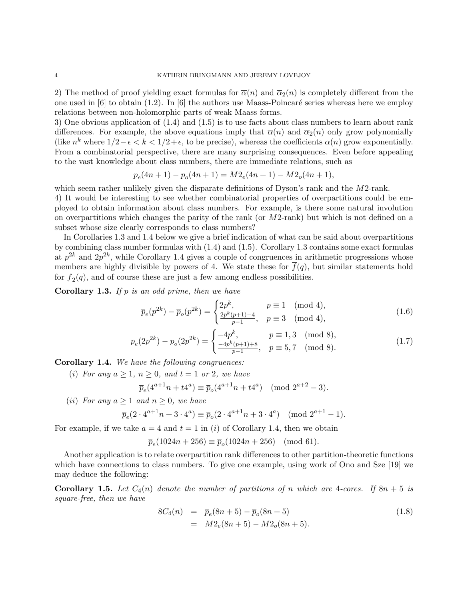2) The method of proof yielding exact formulas for  $\overline{\alpha}(n)$  and  $\overline{\alpha}_2(n)$  is completely different from the one used in  $[6]$  to obtain  $(1.2)$ . In  $[6]$  the authors use Maass-Poincaré series whereas here we employ relations between non-holomorphic parts of weak Maass forms.

3) One obvious application of (1.4) and (1.5) is to use facts about class numbers to learn about rank differences. For example, the above equations imply that  $\bar{\alpha}(n)$  and  $\bar{\alpha}_2(n)$  only grow polynomially (like  $n^k$  where  $1/2 - \epsilon < k < 1/2 + \epsilon$ , to be precise), whereas the coefficients  $\alpha(n)$  grow exponentially. From a combinatorial perspective, there are many surprising consequences. Even before appealing to the vast knowledge about class numbers, there are immediate relations, such as

$$
\overline{p}_e(4n+1) - \overline{p}_o(4n+1) = M2_e(4n+1) - M2_o(4n+1),
$$

which seem rather unlikely given the disparate definitions of Dyson's rank and the M2-rank. 4) It would be interesting to see whether combinatorial properties of overpartitions could be employed to obtain information about class numbers. For example, is there some natural involution on overpartitions which changes the parity of the rank (or  $M2$ -rank) but which is not defined on a subset whose size clearly corresponds to class numbers?

In Corollaries 1.3 and 1.4 below we give a brief indication of what can be said about overpartitions by combining class number formulas with (1.4) and (1.5). Corollary 1.3 contains some exact formulas at  $p^{2k}$  and  $2p^{2k}$ , while Corollary 1.4 gives a couple of congruences in arithmetic progressions whose members are highly divisible by powers of 4. We state these for  $\overline{f}(q)$ , but similar statements hold for  $f_2(q)$ , and of course these are just a few among endless possibilities.

**Corollary 1.3.** If p is an odd prime, then we have

$$
\overline{p}_e(p^{2k}) - \overline{p}_o(p^{2k}) = \begin{cases} 2p^k, & p \equiv 1 \pmod{4}, \\ \frac{2p^k(p+1)-4}{p-1}, & p \equiv 3 \pmod{4}, \end{cases}
$$
(1.6)

$$
\overline{p}_e(2p^{2k}) - \overline{p}_o(2p^{2k}) = \begin{cases}\n-4p^k, & p \equiv 1,3 \pmod{8}, \\
\frac{-4p^k(p+1)+8}{p-1}, & p \equiv 5,7 \pmod{8}.\n\end{cases}
$$
\n(1.7)

Corollary 1.4. We have the following congruences:

(i) For any  $a \geq 1$ ,  $n \geq 0$ , and  $t = 1$  or 2, we have

$$
\overline{p}_e(4^{a+1}n + t4^a) \equiv \overline{p}_o(4^{a+1}n + t4^a) \pmod{2^{a+2} - 3}.
$$

(*ii*) For any  $a \ge 1$  and  $n \ge 0$ , we have

$$
\overline{p}_e(2 \cdot 4^{a+1}n + 3 \cdot 4^a) \equiv \overline{p}_o(2 \cdot 4^{a+1}n + 3 \cdot 4^a) \pmod{2^{a+1} - 1}.
$$

For example, if we take  $a = 4$  and  $t = 1$  in (i) of Corollary 1.4, then we obtain

$$
\overline{p}_e(1024n + 256) \equiv \overline{p}_o(1024n + 256) \pmod{61}.
$$

Another application is to relate overpartition rank differences to other partition-theoretic functions which have connections to class numbers. To give one example, using work of Ono and Sze [19] we may deduce the following:

**Corollary 1.5.** Let  $C_4(n)$  denote the number of partitions of n which are 4-cores. If  $8n + 5$  is square-free, then we have

$$
8C_4(n) = \bar{p}_e(8n+5) - \bar{p}_o(8n+5)
$$
  
=  $M2_e(8n+5) - M2_o(8n+5)$ . (1.8)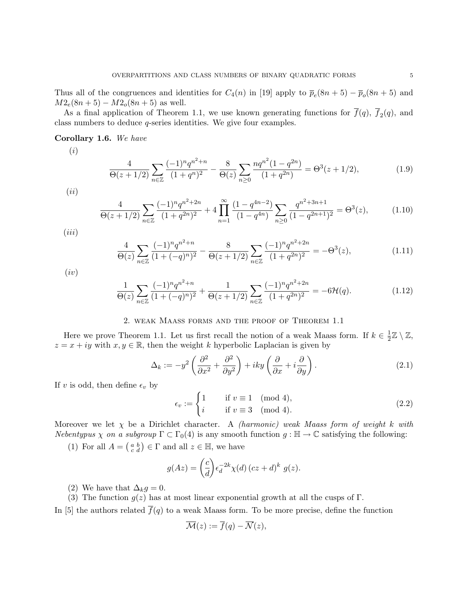Thus all of the congruences and identities for  $C_4(n)$  in [19] apply to  $\bar{p}_e(8n+5) - \bar{p}_o(8n+5)$  and  $M2_e(8n+5) - M2_o(8n+5)$  as well.

As a final application of Theorem 1.1, we use known generating functions for  $f(q)$ ,  $f_2(q)$ , and class numbers to deduce q-series identities. We give four examples.

# Corollary 1.6. We have

(i)

$$
\frac{4}{\Theta(z+1/2)}\sum_{n\in\mathbb{Z}}\frac{(-1)^n q^{n^2+n}}{(1+q^n)^2} - \frac{8}{\Theta(z)}\sum_{n\geq 0}\frac{n q^{n^2} (1-q^{2n})}{(1+q^{2n})} = \Theta^3(z+1/2),\tag{1.9}
$$

$$
(ii)
$$

$$
\frac{4}{\Theta(z+1/2)}\sum_{n\in\mathbb{Z}}\frac{(-1)^n q^{n^2+2n}}{(1+q^{2n})^2} + 4\prod_{n=1}^{\infty}\frac{(1-q^{4n-2})}{(1-q^{4n})}\sum_{n\geq 0}\frac{q^{n^2+3n+1}}{(1-q^{2n+1})^2} = \Theta^3(z),\tag{1.10}
$$

 $(iii)$ 

$$
\frac{4}{\Theta(z)} \sum_{n \in \mathbb{Z}} \frac{(-1)^n q^{n^2 + n}}{(1 + (-q)^n)^2} - \frac{8}{\Theta(z + 1/2)} \sum_{n \in \mathbb{Z}} \frac{(-1)^n q^{n^2 + 2n}}{(1 + q^{2n})^2} = -\Theta^3(z),\tag{1.11}
$$

 $(iv)$ 

$$
\frac{1}{\Theta(z)} \sum_{n \in \mathbb{Z}} \frac{(-1)^n q^{n^2 + n}}{(1 + (-q)^n)^2} + \frac{1}{\Theta(z + 1/2)} \sum_{n \in \mathbb{Z}} \frac{(-1)^n q^{n^2 + 2n}}{(1 + q^{2n})^2} = -6\mathcal{H}(q). \tag{1.12}
$$

# 2. weak Maass forms and the proof of Theorem 1.1

Here we prove Theorem 1.1. Let us first recall the notion of a weak Maass form. If  $k \in \frac{1}{2}$  $\frac{1}{2}\mathbb{Z}\setminus\mathbb{Z},$  $z = x + iy$  with  $x, y \in \mathbb{R}$ , then the weight k hyperbolic Laplacian is given by

$$
\Delta_k := -y^2 \left( \frac{\partial^2}{\partial x^2} + \frac{\partial^2}{\partial y^2} \right) + iky \left( \frac{\partial}{\partial x} + i \frac{\partial}{\partial y} \right). \tag{2.1}
$$

If v is odd, then define  $\epsilon_v$  by

$$
\epsilon_v := \begin{cases} 1 & \text{if } v \equiv 1 \pmod{4}, \\ i & \text{if } v \equiv 3 \pmod{4}. \end{cases}
$$
 (2.2)

Moreover we let  $\chi$  be a Dirichlet character. A *(harmonic) weak Maass form of weight k with* Nebentypus  $\chi$  on a subgroup  $\Gamma \subset \Gamma_0(4)$  is any smooth function  $g : \mathbb{H} \to \mathbb{C}$  satisfying the following:

(1) For all  $A = \begin{pmatrix} a & b \\ c & d \end{pmatrix} \in \Gamma$  and all  $z \in \mathbb{H}$ , we have

$$
g(Az) = \left(\frac{c}{d}\right) \epsilon_d^{-2k} \chi(d) \left( cz + d \right)^k g(z).
$$

(2) We have that  $\Delta_k g = 0$ .

(3) The function  $g(z)$  has at most linear exponential growth at all the cusps of Γ.

In [5] the authors related  $\bar{f}(q)$  to a weak Maass form. To be more precise, define the function

$$
\overline{\mathcal{M}}(z) := \overline{f}(q) - \overline{\mathcal{N}}(z),
$$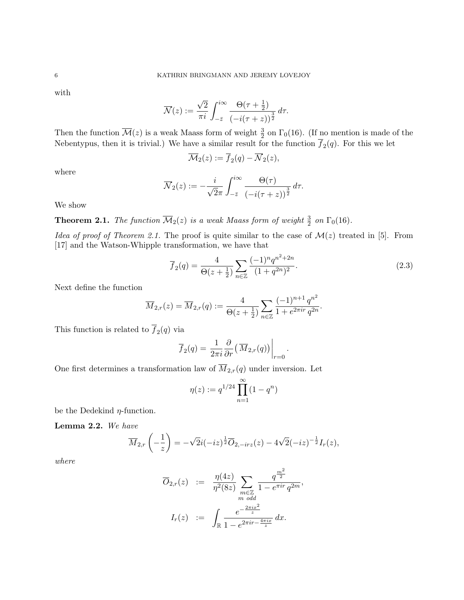with

$$
\overline{\mathcal{N}}(z) := \frac{\sqrt{2}}{\pi i} \int_{-\overline{z}}^{i\infty} \frac{\Theta(\tau + \frac{1}{2})}{\left(-i(\tau + z)\right)^{\frac{3}{2}}} d\tau.
$$

Then the function  $\overline{\mathcal{M}}(z)$  is a weak Maass form of weight  $\frac{3}{2}$  on  $\Gamma_0(16)$ . (If no mention is made of the Nebentypus, then it is trivial.) We have a similar result for the function  $f_2(q)$ . For this we let

$$
\overline{\mathcal{M}}_2(z) := \overline{f}_2(q) - \overline{\mathcal{N}}_2(z),
$$

where

$$
\overline{\mathcal{N}}_2(z) := -\frac{i}{\sqrt{2}\pi} \int_{-\overline{z}}^{i\infty} \frac{\Theta(\tau)}{\left(-i(\tau+z)\right)^{\frac{3}{2}}} d\tau.
$$

We show

**Theorem 2.1.** The function  $\overline{\mathcal{M}}_2(z)$  is a weak Maass form of weight  $\frac{3}{2}$  on  $\Gamma_0(16)$ .

Idea of proof of Theorem 2.1. The proof is quite similar to the case of  $\mathcal{M}(z)$  treated in [5]. From [17] and the Watson-Whipple transformation, we have that

$$
\overline{f}_2(q) = \frac{4}{\Theta(z + \frac{1}{2})} \sum_{n \in \mathbb{Z}} \frac{(-1)^n q^{n^2 + 2n}}{(1 + q^{2n})^2}.
$$
\n(2.3)

.

Next define the function

$$
\overline{M}_{2,r}(z) = \overline{M}_{2,r}(q) := \frac{4}{\Theta(z + \frac{1}{2})} \sum_{n \in \mathbb{Z}} \frac{(-1)^{n+1} q^{n^2}}{1 + e^{2\pi ir} q^{2n}}.
$$

This function is related to  $f_2(q)$  via

$$
\overline{f}_2(q) = \frac{1}{2\pi i} \frac{\partial}{\partial r} \left( \overline{M}_{2,r}(q) \right) \Big|_{r=0}
$$

One first determines a transformation law of  $\overline{M}_{2,r}(q)$  under inversion. Let

$$
\eta(z) := q^{1/24} \prod_{n=1}^{\infty} (1 - q^n)
$$

be the Dedekind  $\eta$ -function.

Lemma 2.2. We have

$$
\overline{M}_{2,r}\left(-\frac{1}{z}\right) = -\sqrt{2}i(-iz)^{\frac{1}{2}}\overline{O}_{2,-irz}(z) - 4\sqrt{2}(-iz)^{-\frac{1}{2}}I_r(z),
$$

where

$$
\overline{O}_{2,r}(z) := \frac{\eta(4z)}{\eta^2(8z)} \sum_{\substack{m \in \mathbb{Z} \\ m \text{ odd}}} \frac{q^{\frac{m^2}{2}}}{1 - e^{\pi ir} q^{2m}},
$$

$$
I_r(z) := \int_{\mathbb{R}} \frac{e^{-\frac{2\pi i x^2}{z}}}{1 - e^{2\pi ir - \frac{4\pi ix}{z}}} dx.
$$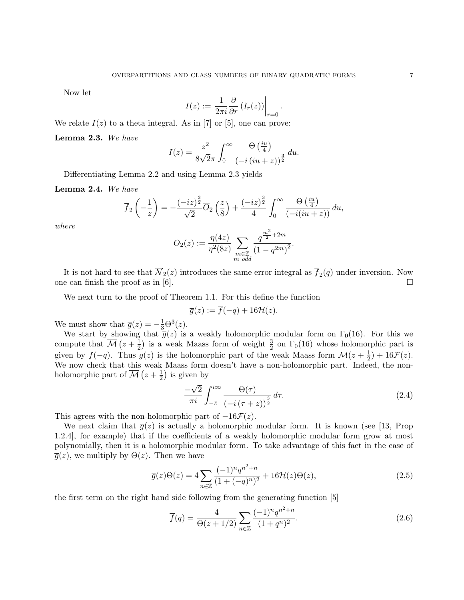Now let

$$
I(z) := \frac{1}{2\pi i} \frac{\partial}{\partial r} \left( I_r(z) \right) \Big|_{r=0}
$$

.

We relate  $I(z)$  to a theta integral. As in [7] or [5], one can prove:

Lemma 2.3. We have

$$
I(z) = \frac{z^2}{8\sqrt{2}\pi} \int_0^\infty \frac{\Theta\left(\frac{iu}{4}\right)}{\left(-i\left(iu+z\right)\right)^{\frac{3}{2}}} du.
$$

Differentiating Lemma 2.2 and using Lemma 2.3 yields

Lemma 2.4. We have

$$
\overline{f}_2\left(-\frac{1}{z}\right) = -\frac{(-iz)^{\frac{3}{2}}}{\sqrt{2}}\overline{O}_2\left(\frac{z}{8}\right) + \frac{(-iz)^{\frac{3}{2}}}{4}\int_0^\infty \frac{\Theta\left(\frac{iu}{4}\right)}{(-i(iu+z))} du,
$$

where

$$
\overline{O}_2(z) := \frac{\eta(4z)}{\eta^2(8z)} \sum_{\substack{m \in \mathbb{Z} \\ m \text{ odd}}} \frac{q^{\frac{m^2}{2} + 2m}}{(1 - q^{2m})^2}.
$$

It is not hard to see that  $\mathcal{N}_2(z)$  introduces the same error integral as  $f_2(q)$  under inversion. Now one can finish the proof as in [6].

We next turn to the proof of Theorem 1.1. For this define the function

$$
\overline{g}(z) := \overline{f}(-q) + 16\mathcal{H}(z).
$$

We must show that  $\overline{g}(z) = -\frac{1}{3}\Theta^3(z)$ .

We start by showing that  $\overline{g}(z)$  is a weakly holomorphic modular form on  $\Gamma_0(16)$ . For this we compute that  $\overline{\mathcal{M}}(z+\frac{1}{2})$  $\frac{1}{2}$ ) is a weak Maass form of weight  $\frac{3}{2}$  on  $\Gamma_0(16)$  whose holomorphic part is given by  $\overline{f}(-q)$ . Thus  $\overline{g}(z)$  is the holomorphic part of the weak Maass form  $\overline{\mathcal{M}}(z + \frac{1}{2})$  $(\frac{1}{2}) + 16\mathcal{F}(z).$ We now check that this weak Maass form doesn't have a non-holomorphic part. Indeed, the nonholomorphic part of  $\overline{\mathcal{M}}(z+\frac{1}{2})$  $(\frac{1}{2})$  is given by

$$
\frac{-\sqrt{2}}{\pi i} \int_{-\bar{z}}^{i\infty} \frac{\Theta(\tau)}{\left(-i\left(\tau+z\right)\right)^{\frac{3}{2}}} d\tau. \tag{2.4}
$$

This agrees with the non-holomorphic part of  $-16\mathcal{F}(z)$ .

We next claim that  $\bar{g}(z)$  is actually a holomorphic modular form. It is known (see [13, Prop 1.2.4], for example) that if the coefficients of a weakly holomorphic modular form grow at most polynomially, then it is a holomorphic modular form. To take advantage of this fact in the case of  $\overline{g}(z)$ , we multiply by  $\Theta(z)$ . Then we have

$$
\overline{g}(z)\Theta(z) = 4\sum_{n\in\mathbb{Z}} \frac{(-1)^n q^{n^2+n}}{(1+(-q)^n)^2} + 16\mathcal{H}(z)\Theta(z),\tag{2.5}
$$

the first term on the right hand side following from the generating function [5]

$$
\overline{f}(q) = \frac{4}{\Theta(z+1/2)} \sum_{n \in \mathbb{Z}} \frac{(-1)^n q^{n^2+n}}{(1+q^n)^2}.
$$
\n(2.6)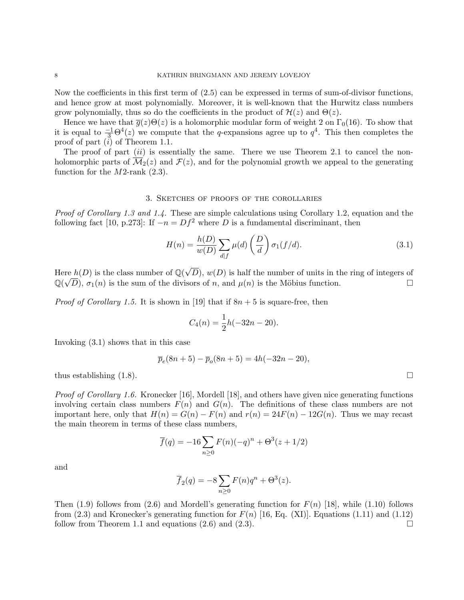Now the coefficients in this first term of (2.5) can be expressed in terms of sum-of-divisor functions, and hence grow at most polynomially. Moreover, it is well-known that the Hurwitz class numbers grow polynomially, thus so do the coefficients in the product of  $\mathcal{H}(z)$  and  $\Theta(z)$ .

Hence we have that  $\overline{g}(z)\Theta(z)$  is a holomorphic modular form of weight 2 on  $\Gamma_0(16)$ . To show that it is equal to  $\frac{-1}{3}\Theta^4(z)$  we compute that the q-expansions agree up to  $q^4$ . This then completes the proof of part (i) of Theorem 1.1.

The proof of part  $(ii)$  is essentially the same. There we use Theorem 2.1 to cancel the nonholomorphic parts of  $\mathcal{M}_2(z)$  and  $\mathcal{F}(z)$ , and for the polynomial growth we appeal to the generating function for the  $M2$ -rank  $(2.3)$ .

#### 3. Sketches of proofs of the corollaries

Proof of Corollary 1.3 and 1.4. These are simple calculations using Corollary 1.2, equation and the following fact [10, p.273]: If  $-n = Df^2$  where D is a fundamental discriminant, then

$$
H(n) = \frac{h(D)}{w(D)} \sum_{d|f} \mu(d) \left(\frac{D}{d}\right) \sigma_1(f/d). \tag{3.1}
$$

Here  $h(D)$  is the class number of  $\mathbb{Q}(\sqrt{D})$ re  $h(D)$  is the class number of  $\mathbb{Q}(\sqrt{D})$ ,  $w(D)$  is half the number of units in the ring of integers of  $\mathbb{Q}(\sqrt{D})$ ,  $\sigma_1(n)$  is the sum of the divisors of n, and  $\mu(n)$  is the Möbius function.

*Proof of Corollary 1.5.* It is shown in [19] that if  $8n + 5$  is square-free, then

$$
C_4(n) = \frac{1}{2}h(-32n - 20).
$$

Invoking (3.1) shows that in this case

$$
\overline{p}_e(8n+5) - \overline{p}_o(8n+5) = 4h(-32n - 20),
$$

thus establishing  $(1.8)$ .

*Proof of Corollary 1.6.* Kronecker [16], Mordell [18], and others have given nice generating functions involving certain class numbers  $F(n)$  and  $G(n)$ . The definitions of these class numbers are not important here, only that  $H(n) = G(n) - F(n)$  and  $r(n) = 24F(n) - 12G(n)$ . Thus we may recast the main theorem in terms of these class numbers,

$$
\overline{f}(q) = -16 \sum_{n \ge 0} F(n)(-q)^n + \Theta^3(z + 1/2)
$$

and

$$
\overline{f}_2(q) = -8 \sum_{n \ge 0} F(n)q^n + \Theta^3(z).
$$

Then (1.9) follows from (2.6) and Mordell's generating function for  $F(n)$  [18], while (1.10) follows from  $(2.3)$  and Kronecker's generating function for  $F(n)$  [16, Eq. (XI)]. Equations (1.11) and (1.12) follow from Theorem 1.1 and equations  $(2.6)$  and  $(2.3)$ .